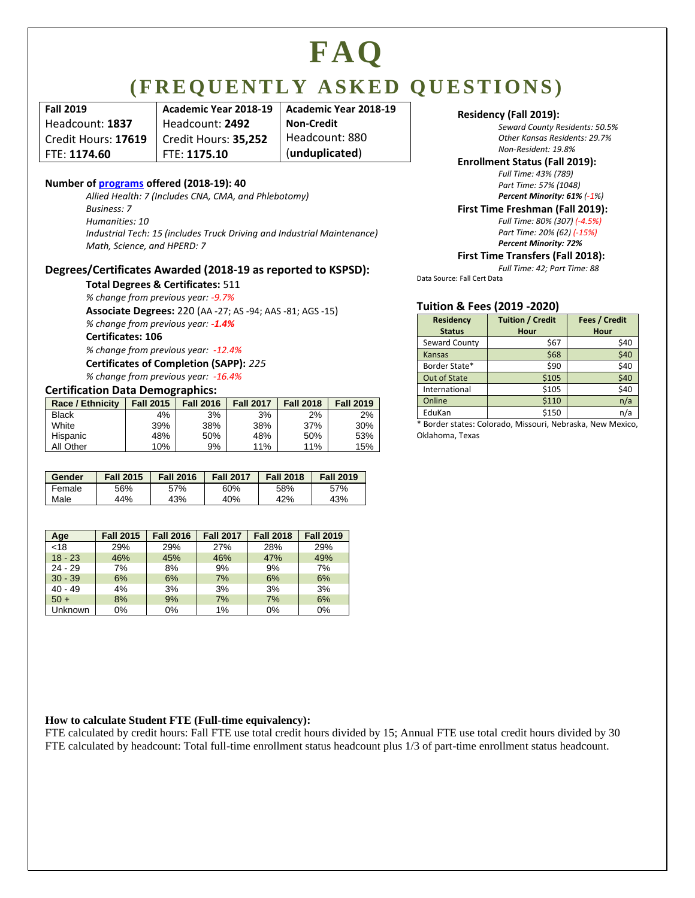# **FAQ**

### **( F R E Q U E N T L Y A S K E D Q U E S T I O N S )**

| <b>Fall 2019</b>    | Academic Year 2018-19 | Academic Year 2018-19 | Residency (Fall 2019):                            |
|---------------------|-----------------------|-----------------------|---------------------------------------------------|
| Headcount: 1837     | Headcount: 2492       | Non-Credit            | Seward County Reside                              |
| Credit Hours: 17619 | Credit Hours: 35.252  | Headcount: 880        | Other Kansas Resider                              |
| FTE: 1174.60        | FTE: 1175.10          | (unduplicated)        | Non-Resident: 19.8%<br>Envollmant Ctatus (Fall 20 |

#### **Number of [programs](http://www.sccc.edu/web/academic/academic-divisions) offered (2018-19): 40**

*Allied Health: 7 (Includes CNA, CMA, and Phlebotomy) Business: 7 Humanities: 10 Industrial Tech: 15 (includes Truck Driving and Industrial Maintenance) Math, Science, and HPERD: 7*

#### **Degrees/Certificates Awarded (2018-19 as reported to KSPSD):**

**Total Degrees & Certificates:** 511

*% change from previous year: -9.7%*

**Associate Degrees:** 220 (AA -27; AS -94; AAS -81; AGS -15)

*% change from previous year: -1.4%*

**Certificates: 106**

*% change from previous year: -12.4%* **Certificates of Completion (SAPP):** *225 % change from previous year: -16.4%*

#### **Certification Data Demographics:**

| <b>Race / Ethnicity</b> | <b>Fall 2015</b> | <b>Fall 2016</b> | <b>Fall 2017</b> | <b>Fall 2018</b> | <b>Fall 2019</b> |
|-------------------------|------------------|------------------|------------------|------------------|------------------|
| <b>Black</b>            | 4%               | 3%               | 3%               | 2%               | 2%               |
| White                   | 39%              | 38%              | 38%              | 37%              | 30%              |
| Hispanic                | 48%              | 50%              | 48%              | 50%              | 53%              |
| All Other               | 10%              | 9%               | 11%              | 11%              | 15%              |

| Gender | <b>Fall 2015</b> | <b>Fall 2016</b> | <b>Fall 2017</b> | <b>Fall 2018</b> | <b>Fall 2019</b> |
|--------|------------------|------------------|------------------|------------------|------------------|
| Female | 56%              | 57%              | 60%              | 58%              | 57%              |
| Male   | 44%              | 43%              | 40%              | 42%              | 43%              |

| Age       | <b>Fall 2015</b> | <b>Fall 2016</b> | <b>Fall 2017</b> | <b>Fall 2018</b> | <b>Fall 2019</b> |
|-----------|------------------|------------------|------------------|------------------|------------------|
| < 18      | 29%              | 29%              | 27%              | 28%              | 29%              |
| $18 - 23$ | 46%              | 45%              | 46%              | 47%              | 49%              |
| $24 - 29$ | 7%               | 8%               | 9%               | 9%               | 7%               |
| $30 - 39$ | 6%               | 6%               | 7%               | 6%               | 6%               |
| $40 - 49$ | 4%               | 3%               | 3%               | 3%               | 3%               |
| $50 +$    | 8%               | 9%               | 7%               | 7%               | 6%               |
| Unknown   | 0%               | 0%               | 1%               | 0%               | 0%               |

*Seward County Residents: 50.5% Other Kansas Residents: 29.7%*

#### **Enrollment Status (Fall 2019):**

*Full Time: 43% (789) Part Time: 57% (1048) Percent Minority: 61% (-1%)*

#### **First Time Freshman (Fall 2019):**

*Full Time: 80% (307) (-4.5%) Part Time: 20% (62) (-15%) Percent Minority: 72%*

#### **First Time Transfers (Fall 2018):**

*Full Time: 42; Part Time: 88*

Data Source: Fall Cert Data

#### **Tuition & Fees (2019 -2020)**

| <b>Residency</b><br><b>Status</b> | <b>Tuition / Credit</b><br>Hour | Fees / Credit<br>Hour |
|-----------------------------------|---------------------------------|-----------------------|
| Seward County                     | \$67                            | \$40                  |
| <b>Kansas</b>                     | \$68                            | \$40                  |
| Border State*                     | \$90                            | \$40                  |
| Out of State                      | \$105                           | \$40                  |
| International                     | \$105                           | \$40                  |
| Online                            | \$110                           | n/a                   |
| EduKan                            | \$150                           | n/a                   |

\* Border states: Colorado, Missouri, Nebraska, New Mexico, Oklahoma, Texas

#### **How to calculate Student FTE (Full-time equivalency):**

FTE calculated by credit hours: Fall FTE use total credit hours divided by 15; Annual FTE use total credit hours divided by 30 FTE calculated by headcount: Total full-time enrollment status headcount plus 1/3 of part-time enrollment status headcount.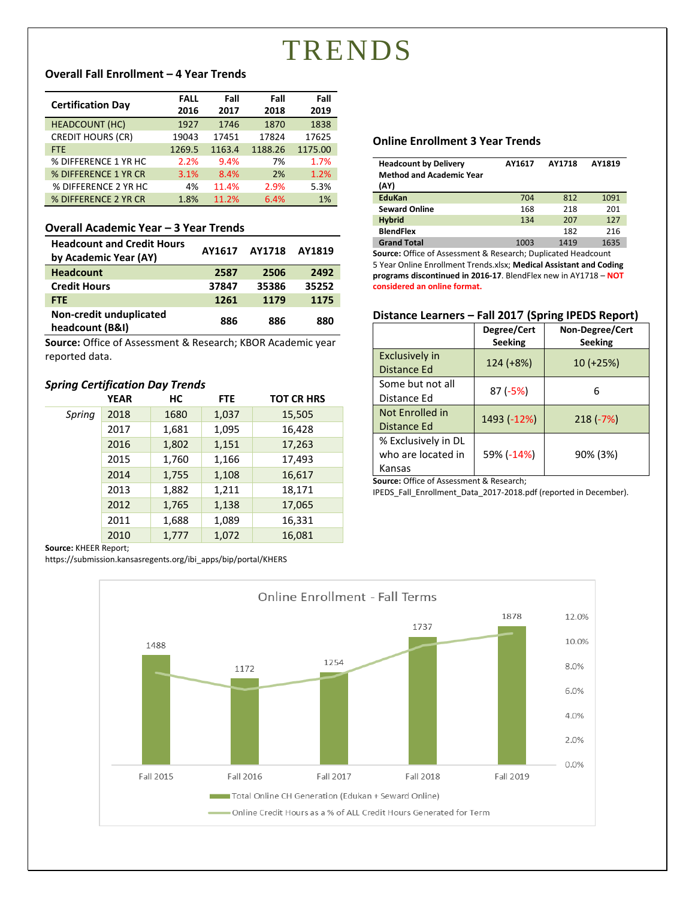### TRENDS

#### **Overall Fall Enrollment – 4 Year Trends**

|                          | <b>FALL</b> | Fall   | Fall    | Fall    |
|--------------------------|-------------|--------|---------|---------|
| <b>Certification Day</b> | 2016        | 2017   | 2018    | 2019    |
| <b>HEADCOUNT (HC)</b>    | 1927        | 1746   | 1870    | 1838    |
| <b>CREDIT HOURS (CR)</b> | 19043       | 17451  | 17824   | 17625   |
| <b>FTE</b>               | 1269.5      | 1163.4 | 1188.26 | 1175.00 |
| % DIFFERENCE 1 YR HC     | 2.2%        | 9.4%   | 7%      | 1.7%    |
| % DIFFERENCE 1 YR CR     | 3.1%        | 8.4%   | 2%      | 1.2%    |
| % DIFFERENCE 2 YR HC     | 4%          | 11.4%  | 2.9%    | 5.3%    |
| % DIFFERENCE 2 YR CR     | 1.8%        | 11.2%  | 6.4%    | 1%      |

#### **Overall Academic Year – 3 Year Trends**

| <b>Headcount and Credit Hours</b><br>by Academic Year (AY) | AY1617 | <b>AY1718</b> | AY1819 |
|------------------------------------------------------------|--------|---------------|--------|
| <b>Headcount</b>                                           | 2587   | 2506          | 2492   |
| <b>Credit Hours</b>                                        | 37847  | 35386         | 35252  |
| <b>FTE</b>                                                 | 1261   | 1179          | 1175   |
| Non-credit unduplicated<br>headcount (B&I)                 | 886    | 886           | 880    |

**Source:** Office of Assessment & Research; KBOR Academic year reported data.

#### *Spring Certification Day Trends*

|        | <b>YEAR</b> | НC    | <b>FTE</b> | <b>TOT CR HRS</b> |
|--------|-------------|-------|------------|-------------------|
| Spring | 2018        | 1680  | 1,037      | 15,505            |
|        | 2017        | 1,681 | 1,095      | 16,428            |
|        | 2016        | 1,802 | 1,151      | 17,263            |
|        | 2015        | 1,760 | 1,166      | 17,493            |
|        | 2014        | 1,755 | 1,108      | 16,617            |
|        | 2013        | 1,882 | 1,211      | 18,171            |
|        | 2012        | 1,765 | 1,138      | 17,065            |
|        | 2011        | 1,688 | 1,089      | 16,331            |
|        | 2010        | 1,777 | 1,072      | 16,081            |

**Source:** KHEER Report;

https://submission.kansasregents.org/ibi\_apps/bip/portal/KHERS

#### **Online Enrollment 3 Year Trends**

| <b>Headcount by Delivery</b><br><b>Method and Academic Year</b><br>(AY) | AY1617 | AY1718 | AY1819 |
|-------------------------------------------------------------------------|--------|--------|--------|
| EduKan                                                                  | 704    | 812    | 1091   |
| <b>Seward Online</b>                                                    | 168    | 218    | 201    |
| <b>Hybrid</b>                                                           | 134    | 207    | 127    |
| <b>BlendFlex</b>                                                        |        | 182    | 216    |
| <b>Grand Total</b>                                                      | 1003   | 1419   | 1635   |

**Source:** Office of Assessment & Research; Duplicated Headcount 5 Year Online Enrollment Trends.xlsx; **Medical Assistant and Coding programs discontinued in 2016-17**. BlendFlex new in AY1718 – **NOT considered an online format.**

#### **Distance Learners – Fall 2017 (Spring IPEDS Report)**

|                                                     | Degree/Cert<br><b>Seeking</b> | Non-Degree/Cert<br><b>Seeking</b> |
|-----------------------------------------------------|-------------------------------|-----------------------------------|
| <b>Exclusively in</b><br>Distance Ed                | 124 (+8%)                     | 10 (+25%)                         |
| Some but not all<br>Distance Ed                     | $87(-5%)$                     | 6                                 |
| Not Enrolled in<br>Distance Ed                      | 1493 (-12%)                   | $218(-7%)$                        |
| % Exclusively in DL<br>who are located in<br>Kansas | 59% (-14%)                    | 90% (3%)                          |

**Source:** Office of Assessment & Research;

IPEDS\_Fall\_Enrollment\_Data\_2017-2018.pdf (reported in December).

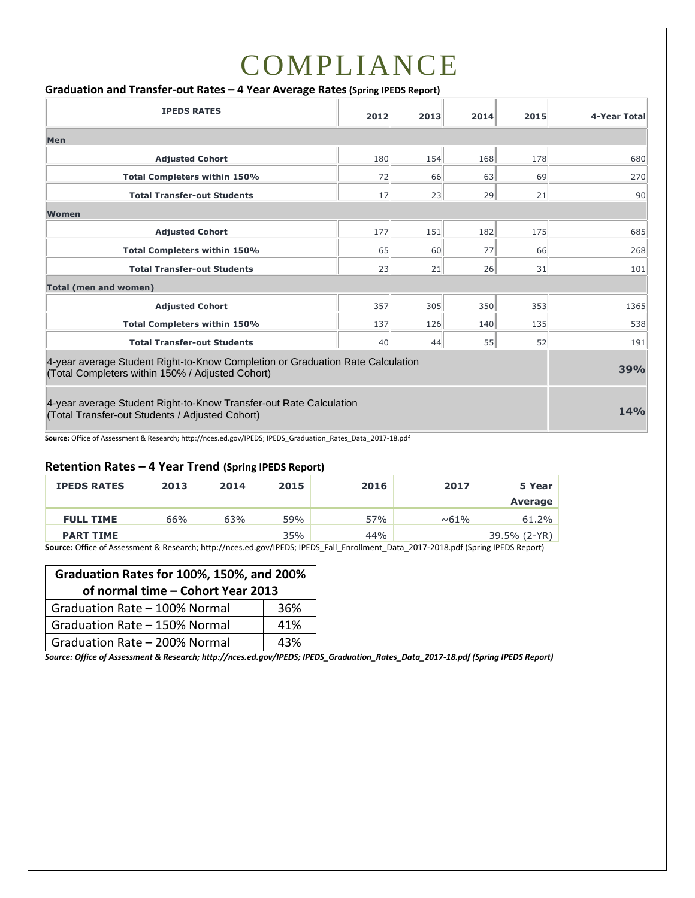# COMPLIANCE

#### **Graduation and Transfer-out Rates – 4 Year Average Rates(Spring IPEDS Report)**

| <b>IPEDS RATES</b>                                                                                                                 | 2012       | 2013 | 2014 | 2015 | 4-Year Total |
|------------------------------------------------------------------------------------------------------------------------------------|------------|------|------|------|--------------|
| Men                                                                                                                                |            |      |      |      |              |
| <b>Adjusted Cohort</b>                                                                                                             | 180        | 154  | 168  | 178  | 680          |
| <b>Total Completers within 150%</b>                                                                                                | 72         | 66   | 63   | 69   | 270          |
| <b>Total Transfer-out Students</b>                                                                                                 | 17         | 23   | 29   | 21   | 90           |
| <b>Women</b>                                                                                                                       |            |      |      |      |              |
| <b>Adjusted Cohort</b>                                                                                                             | 177        | 151  | 182  | 175  | 685          |
| <b>Total Completers within 150%</b>                                                                                                | 65         | 60   | 77   | 66   | 268          |
| <b>Total Transfer-out Students</b>                                                                                                 | 23         | 21   | 26   | 31   | 101          |
| <b>Total (men and women)</b>                                                                                                       |            |      |      |      |              |
| <b>Adjusted Cohort</b>                                                                                                             | 357        | 305  | 350  | 353  | 1365         |
| Total Completers within 150%                                                                                                       | 137        | 126  | 140  | 135  | 538          |
| <b>Total Transfer-out Students</b>                                                                                                 | 40         | 44   | 55   | 52   | 191          |
| 4-year average Student Right-to-Know Completion or Graduation Rate Calculation<br>(Total Completers within 150% / Adjusted Cohort) |            |      |      |      | 39%          |
| 4-year average Student Right-to-Know Transfer-out Rate Calculation<br>(Total Transfer-out Students / Adjusted Cohort)              | <b>14%</b> |      |      |      |              |

**Source:** Office of Assessment & Research; http://nces.ed.gov/IPEDS; IPEDS\_Graduation\_Rates\_Data\_2017-18.pdf

#### **Retention Rates – 4 Year Trend (Spring IPEDS Report)**

| 2013 | 2014 | 2015 | 2016 | 2017                                                                                                                                                                                                                                 | 5 Year       |
|------|------|------|------|--------------------------------------------------------------------------------------------------------------------------------------------------------------------------------------------------------------------------------------|--------------|
|      |      |      |      |                                                                                                                                                                                                                                      | Average      |
| 66%  | 63%  | 59%  | 57%  | $~0.61\%$                                                                                                                                                                                                                            | 61.2%        |
|      |      | 35%  | 44%  |                                                                                                                                                                                                                                      | 39.5% (2-YR) |
|      |      | .    |      | $\blacksquare$ . The contract of the contract of the contract of the contract of the contract of the contract of the contract of the contract of the contract of the contract of the contract of the contract of the contract of the |              |

**Source:** Office of Assessment & Research; http://nces.ed.gov/IPEDS; IPEDS\_Fall\_Enrollment\_Data\_2017-2018.pdf (Spring IPEDS Report)

| Graduation Rates for 100%, 150%, and 200% |     |  |  |
|-------------------------------------------|-----|--|--|
| of normal time - Cohort Year 2013         |     |  |  |
| Graduation Rate - 100% Normal             | 36% |  |  |
| Graduation Rate - 150% Normal             | 41% |  |  |
| Graduation Rate - 200% Normal             | 43% |  |  |

*Source: Office of Assessment & Research; http://nces.ed.gov/IPEDS; IPEDS\_Graduation\_Rates\_Data\_2017-18.pdf (Spring IPEDS Report)*